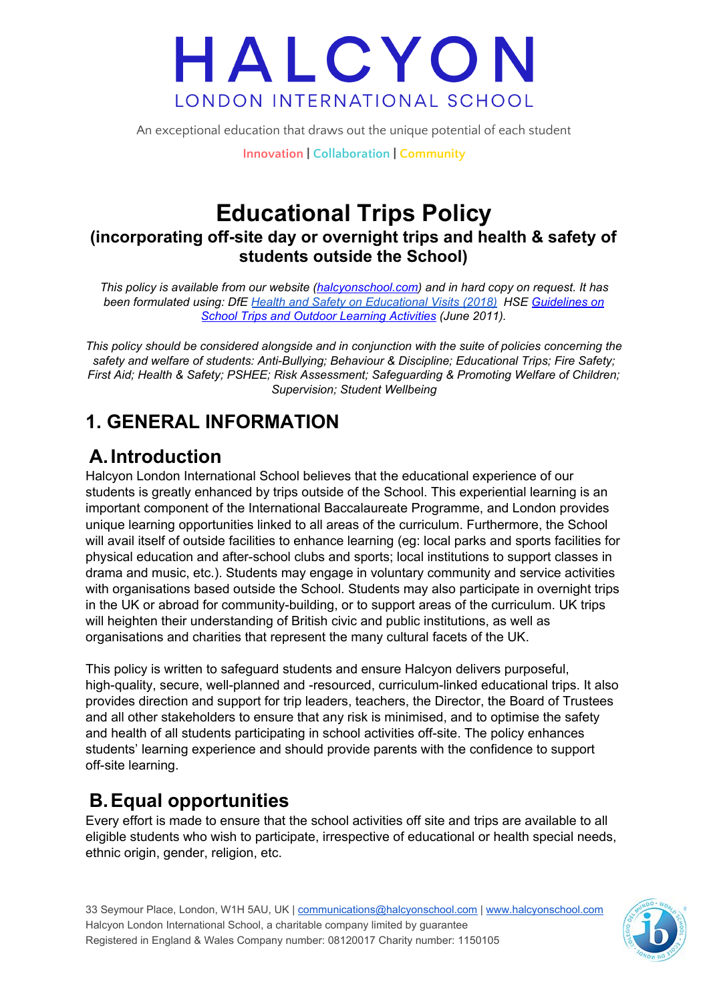An exceptional education that draws out the unique potential of each student

**Innovation | Collaboration | Community**

### **Educational Trips Policy (incorporating off-site day or overnight trips and health & safety of students outside the School)**

*This policy is available from our website [\(halcyonschool.com](http://www.halcyonschool.com/)) and in hard copy on request. It has been formulated using: DfE Health and Safety on [Educational](https://www.gov.uk/government/publications/health-and-safety-on-educational-visits/health-and-safety-on-educational-visits) Visits (2018) HSE [Guidelines](http://www.hse.gov.uk/services/education/school-trips.pdf) on School Trips and Outdoor Learning [Activities](http://www.hse.gov.uk/services/education/school-trips.pdf) (June 2011).*

*This policy should be considered alongside and in conjunction with the suite of policies concerning the safety and welfare of students: Anti-Bullying; Behaviour & Discipline; Educational Trips; Fire Safety; First Aid; Health & Safety; PSHEE; Risk Assessment; Safeguarding & Promoting Welfare of Children; Supervision; Student Wellbeing*

### **1. GENERAL INFORMATION**

### **A.Introduction**

Halcyon London International School believes that the educational experience of our students is greatly enhanced by trips outside of the School. This experiential learning is an important component of the International Baccalaureate Programme, and London provides unique learning opportunities linked to all areas of the curriculum. Furthermore, the School will avail itself of outside facilities to enhance learning (eg: local parks and sports facilities for physical education and after-school clubs and sports; local institutions to support classes in drama and music, etc.). Students may engage in voluntary community and service activities with organisations based outside the School. Students may also participate in overnight trips in the UK or abroad for community-building, or to support areas of the curriculum. UK trips will heighten their understanding of British civic and public institutions, as well as organisations and charities that represent the many cultural facets of the UK.

This policy is written to safeguard students and ensure Halcyon delivers purposeful, high-quality, secure, well-planned and -resourced, curriculum-linked educational trips. It also provides direction and support for trip leaders, teachers, the Director, the Board of Trustees and all other stakeholders to ensure that any risk is minimised, and to optimise the safety and health of all students participating in school activities off-site. The policy enhances students' learning experience and should provide parents with the confidence to support off-site learning.

### **B.Equal opportunities**

Every effort is made to ensure that the school activities off site and trips are available to all eligible students who wish to participate, irrespective of educational or health special needs, ethnic origin, gender, religion, etc.

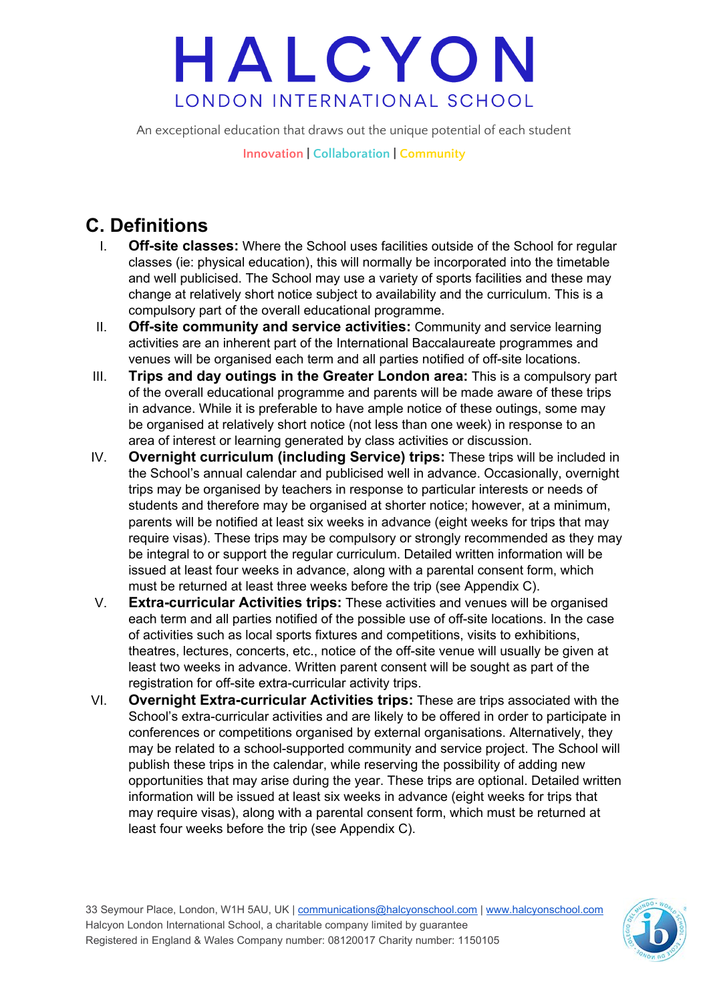An exceptional education that draws out the unique potential of each student

**Innovation | Collaboration | Community**

## **C. Definitions**

- I. **Off-site classes:** Where the School uses facilities outside of the School for regular classes (ie: physical education), this will normally be incorporated into the timetable and well publicised. The School may use a variety of sports facilities and these may change at relatively short notice subject to availability and the curriculum. This is a compulsory part of the overall educational programme.
- II. **Off-site community and service activities:** Community and service learning activities are an inherent part of the International Baccalaureate programmes and venues will be organised each term and all parties notified of off-site locations.
- III. **Trips and day outings in the Greater London area:** This is a compulsory part of the overall educational programme and parents will be made aware of these trips in advance. While it is preferable to have ample notice of these outings, some may be organised at relatively short notice (not less than one week) in response to an area of interest or learning generated by class activities or discussion.
- IV. **Overnight curriculum (including Service) trips:** These trips will be included in the School's annual calendar and publicised well in advance. Occasionally, overnight trips may be organised by teachers in response to particular interests or needs of students and therefore may be organised at shorter notice; however, at a minimum, parents will be notified at least six weeks in advance (eight weeks for trips that may require visas). These trips may be compulsory or strongly recommended as they may be integral to or support the regular curriculum. Detailed written information will be issued at least four weeks in advance, along with a parental consent form, which must be returned at least three weeks before the trip (see Appendix C).
- V. **Extra-curricular Activities trips:** These activities and venues will be organised each term and all parties notified of the possible use of off-site locations. In the case of activities such as local sports fixtures and competitions, visits to exhibitions, theatres, lectures, concerts, etc., notice of the off-site venue will usually be given at least two weeks in advance. Written parent consent will be sought as part of the registration for off-site extra-curricular activity trips.
- VI. **Overnight Extra-curricular Activities trips:** These are trips associated with the School's extra-curricular activities and are likely to be offered in order to participate in conferences or competitions organised by external organisations. Alternatively, they may be related to a school-supported community and service project. The School will publish these trips in the calendar, while reserving the possibility of adding new opportunities that may arise during the year. These trips are optional. Detailed written information will be issued at least six weeks in advance (eight weeks for trips that may require visas), along with a parental consent form, which must be returned at least four weeks before the trip (see Appendix C).

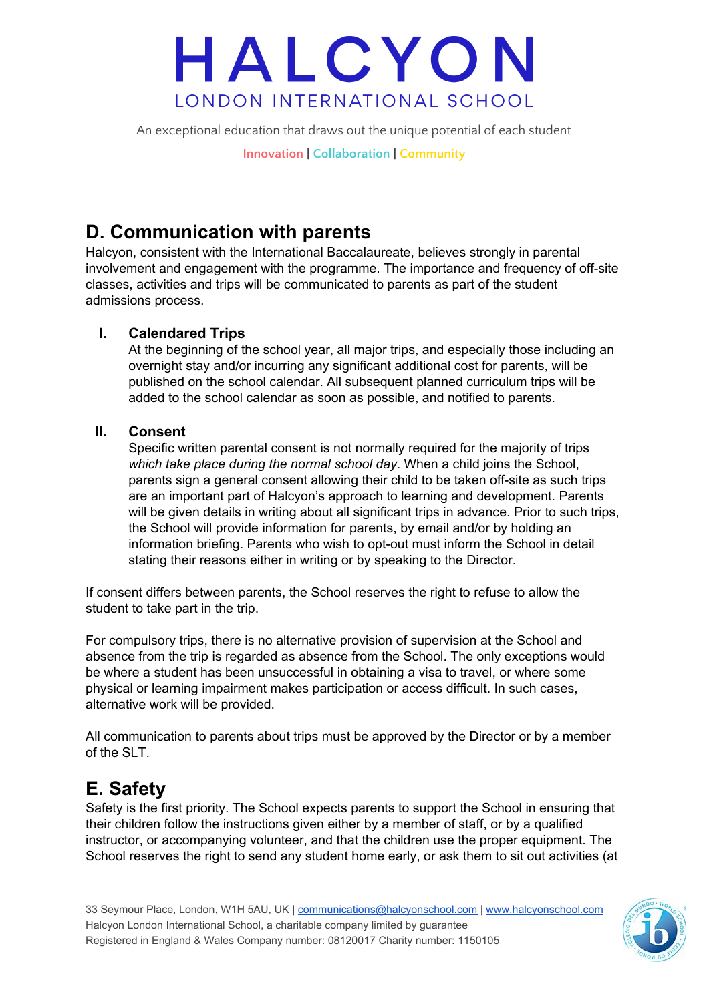An exceptional education that draws out the unique potential of each student

**Innovation | Collaboration | Community**

### **D. Communication with parents**

Halcyon, consistent with the International Baccalaureate, believes strongly in parental involvement and engagement with the programme. The importance and frequency of off-site classes, activities and trips will be communicated to parents as part of the student admissions process.

#### **I. Calendared Trips**

At the beginning of the school year, all major trips, and especially those including an overnight stay and/or incurring any significant additional cost for parents, will be published on the school calendar. All subsequent planned curriculum trips will be added to the school calendar as soon as possible, and notified to parents.

#### **II. Consent**

Specific written parental consent is not normally required for the majority of trips *which take place during the normal school day*. When a child joins the School, parents sign a general consent allowing their child to be taken off-site as such trips are an important part of Halcyon's approach to learning and development. Parents will be given details in writing about all significant trips in advance. Prior to such trips, the School will provide information for parents, by email and/or by holding an information briefing. Parents who wish to opt-out must inform the School in detail stating their reasons either in writing or by speaking to the Director.

If consent differs between parents, the School reserves the right to refuse to allow the student to take part in the trip.

For compulsory trips, there is no alternative provision of supervision at the School and absence from the trip is regarded as absence from the School. The only exceptions would be where a student has been unsuccessful in obtaining a visa to travel, or where some physical or learning impairment makes participation or access difficult. In such cases, alternative work will be provided.

All communication to parents about trips must be approved by the Director or by a member of the SLT.

### **E. Safety**

Safety is the first priority. The School expects parents to support the School in ensuring that their children follow the instructions given either by a member of staff, or by a qualified instructor, or accompanying volunteer, and that the children use the proper equipment. The School reserves the right to send any student home early, or ask them to sit out activities (at

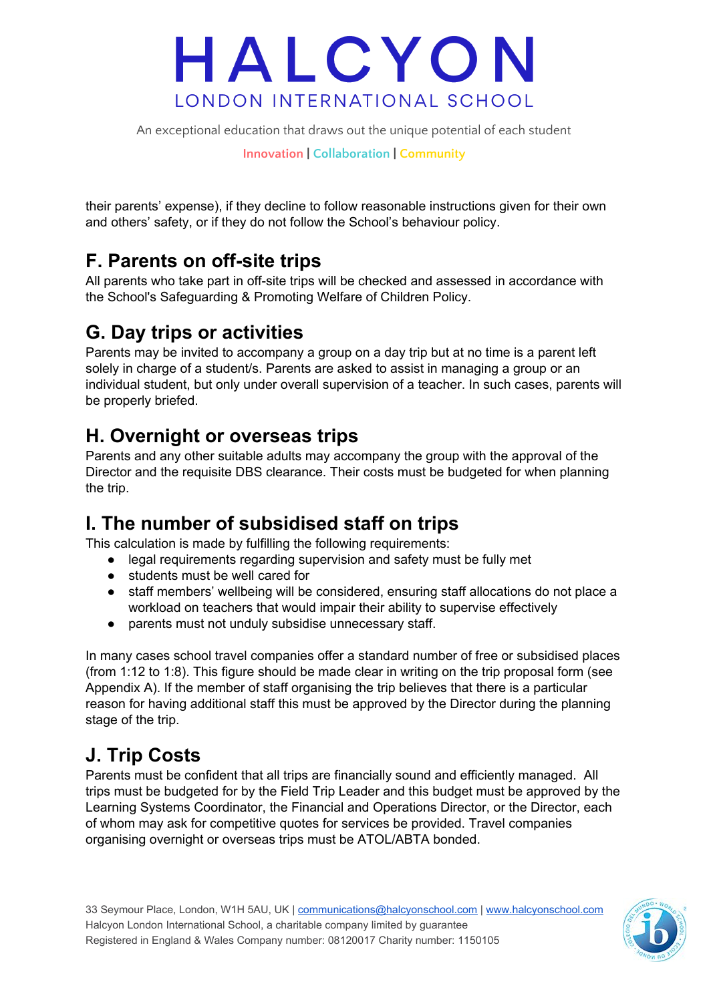An exceptional education that draws out the unique potential of each student

**Innovation | Collaboration | Community**

their parents' expense), if they decline to follow reasonable instructions given for their own and others' safety, or if they do not follow the School's behaviour policy.

### **F. Parents on off-site trips**

All parents who take part in off-site trips will be checked and assessed in accordance with the School's Safeguarding & Promoting Welfare of Children Policy.

### **G. Day trips or activities**

Parents may be invited to accompany a group on a day trip but at no time is a parent left solely in charge of a student/s. Parents are asked to assist in managing a group or an individual student, but only under overall supervision of a teacher. In such cases, parents will be properly briefed.

### **H. Overnight or overseas trips**

Parents and any other suitable adults may accompany the group with the approval of the Director and the requisite DBS clearance. Their costs must be budgeted for when planning the trip.

### **I. The number of subsidised staff on trips**

This calculation is made by fulfilling the following requirements:

- legal requirements regarding supervision and safety must be fully met
- students must be well cared for
- staff members' wellbeing will be considered, ensuring staff allocations do not place a workload on teachers that would impair their ability to supervise effectively
- parents must not unduly subsidise unnecessary staff.

In many cases school travel companies offer a standard number of free or subsidised places (from 1:12 to 1:8). This figure should be made clear in writing on the trip proposal form (see Appendix A). If the member of staff organising the trip believes that there is a particular reason for having additional staff this must be approved by the Director during the planning stage of the trip.

### **J. Trip Costs**

Parents must be confident that all trips are financially sound and efficiently managed. All trips must be budgeted for by the Field Trip Leader and this budget must be approved by the Learning Systems Coordinator, the Financial and Operations Director, or the Director, each of whom may ask for competitive quotes for services be provided. Travel companies organising overnight or overseas trips must be ATOL/ABTA bonded.

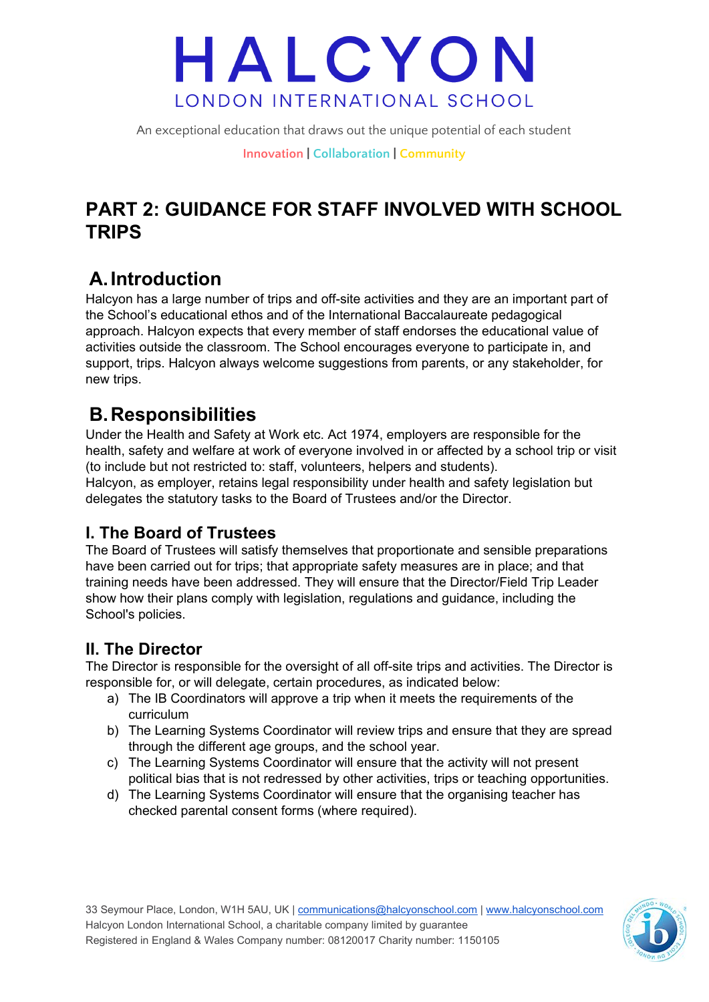An exceptional education that draws out the unique potential of each student

**Innovation | Collaboration | Community**

### **PART 2: GUIDANCE FOR STAFF INVOLVED WITH SCHOOL TRIPS**

## **A.Introduction**

Halcyon has a large number of trips and off-site activities and they are an important part of the School's educational ethos and of the International Baccalaureate pedagogical approach. Halcyon expects that every member of staff endorses the educational value of activities outside the classroom. The School encourages everyone to participate in, and support, trips. Halcyon always welcome suggestions from parents, or any stakeholder, for new trips.

### **B.Responsibilities**

Under the Health and Safety at Work etc. Act 1974, employers are responsible for the health, safety and welfare at work of everyone involved in or affected by a school trip or visit (to include but not restricted to: staff, volunteers, helpers and students). Halcyon, as employer, retains legal responsibility under health and safety legislation but delegates the statutory tasks to the Board of Trustees and/or the Director.

### **I. The Board of Trustees**

The Board of Trustees will satisfy themselves that proportionate and sensible preparations have been carried out for trips; that appropriate safety measures are in place; and that training needs have been addressed. They will ensure that the Director/Field Trip Leader show how their plans comply with legislation, regulations and guidance, including the School's policies.

### **II. The Director**

The Director is responsible for the oversight of all off-site trips and activities. The Director is responsible for, or will delegate, certain procedures, as indicated below:

- a) The IB Coordinators will approve a trip when it meets the requirements of the curriculum
- b) The Learning Systems Coordinator will review trips and ensure that they are spread through the different age groups, and the school year.
- c) The Learning Systems Coordinator will ensure that the activity will not present political bias that is not redressed by other activities, trips or teaching opportunities.
- d) The Learning Systems Coordinator will ensure that the organising teacher has checked parental consent forms (where required).

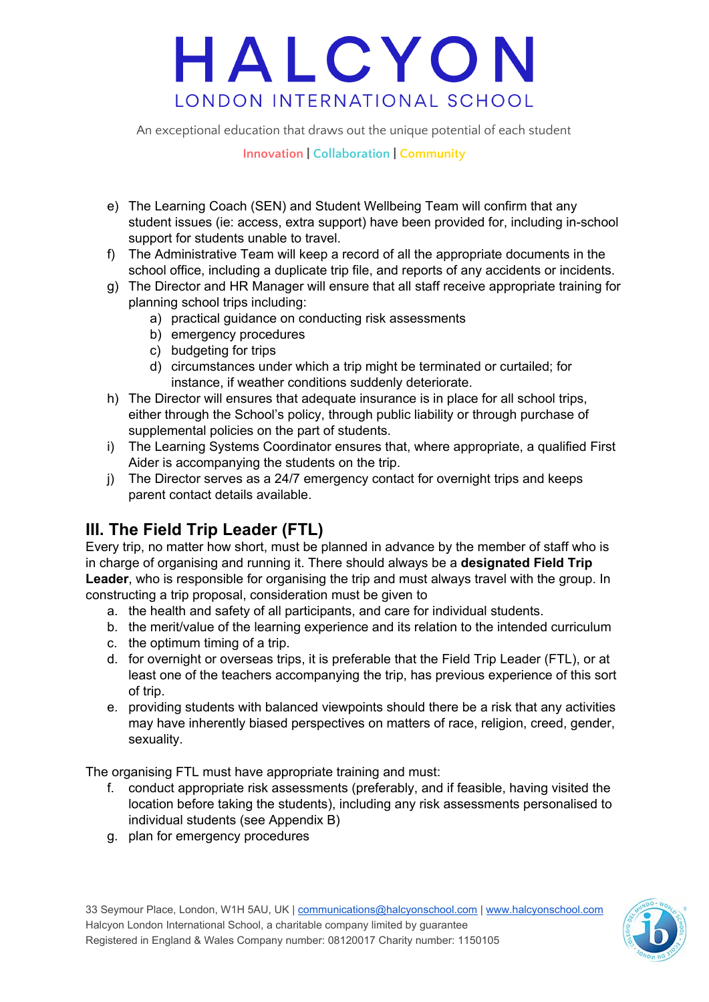An exceptional education that draws out the unique potential of each student

#### **Innovation | Collaboration | Community**

- e) The Learning Coach (SEN) and Student Wellbeing Team will confirm that any student issues (ie: access, extra support) have been provided for, including in-school support for students unable to travel.
- f) The Administrative Team will keep a record of all the appropriate documents in the school office, including a duplicate trip file, and reports of any accidents or incidents.
- g) The Director and HR Manager will ensure that all staff receive appropriate training for planning school trips including:
	- a) practical guidance on conducting risk assessments
	- b) emergency procedures
	- c) budgeting for trips
	- d) circumstances under which a trip might be terminated or curtailed; for instance, if weather conditions suddenly deteriorate.
- h) The Director will ensures that adequate insurance is in place for all school trips, either through the School's policy, through public liability or through purchase of supplemental policies on the part of students.
- i) The Learning Systems Coordinator ensures that, where appropriate, a qualified First Aider is accompanying the students on the trip.
- j) The Director serves as a 24/7 emergency contact for overnight trips and keeps parent contact details available.

### **III. The Field Trip Leader (FTL)**

Every trip, no matter how short, must be planned in advance by the member of staff who is in charge of organising and running it. There should always be a **designated Field Trip Leader**, who is responsible for organising the trip and must always travel with the group. In constructing a trip proposal, consideration must be given to

- a. the health and safety of all participants, and care for individual students.
- b. the merit/value of the learning experience and its relation to the intended curriculum
- c. the optimum timing of a trip.
- d. for overnight or overseas trips, it is preferable that the Field Trip Leader (FTL), or at least one of the teachers accompanying the trip, has previous experience of this sort of trip.
- e. providing students with balanced viewpoints should there be a risk that any activities may have inherently biased perspectives on matters of race, religion, creed, gender, sexuality.

The organising FTL must have appropriate training and must:

- f. conduct appropriate risk assessments (preferably, and if feasible, having visited the location before taking the students), including any risk assessments personalised to individual students (see Appendix B)
- g. plan for emergency procedures

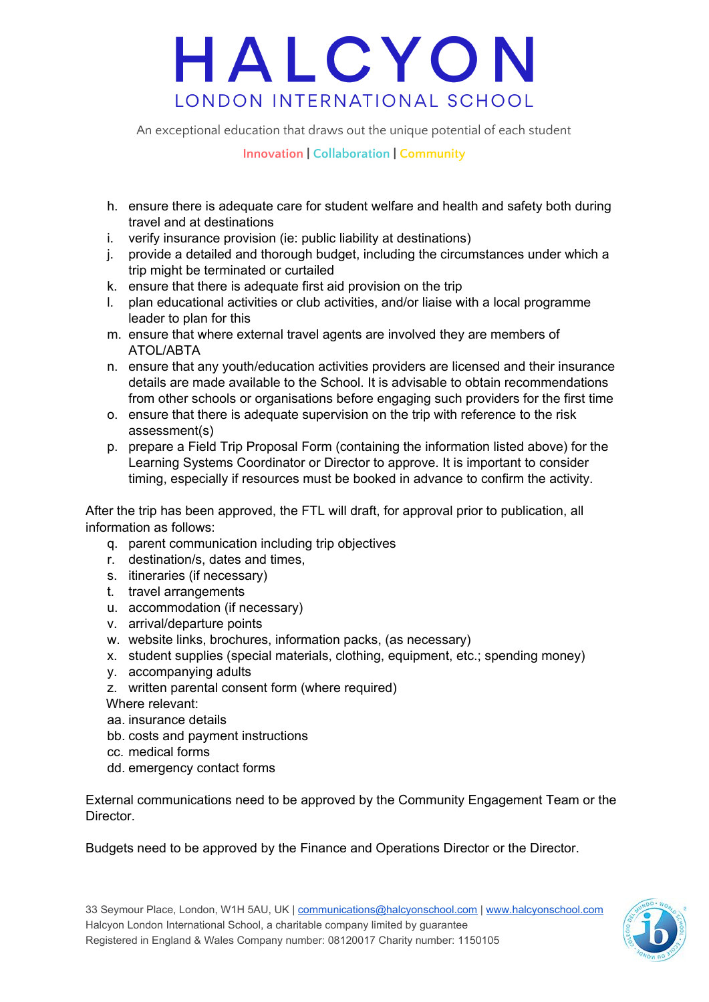An exceptional education that draws out the unique potential of each student

**Innovation | Collaboration | Community**

- h. ensure there is adequate care for student welfare and health and safety both during travel and at destinations
- i. verify insurance provision (ie: public liability at destinations)
- j. provide a detailed and thorough budget, including the circumstances under which a trip might be terminated or curtailed
- k. ensure that there is adequate first aid provision on the trip
- l. plan educational activities or club activities, and/or liaise with a local programme leader to plan for this
- m. ensure that where external travel agents are involved they are members of ATOL/ABTA
- n. ensure that any youth/education activities providers are licensed and their insurance details are made available to the School. It is advisable to obtain recommendations from other schools or organisations before engaging such providers for the first time
- o. ensure that there is adequate supervision on the trip with reference to the risk assessment(s)
- p. prepare a Field Trip Proposal Form (containing the information listed above) for the Learning Systems Coordinator or Director to approve. It is important to consider timing, especially if resources must be booked in advance to confirm the activity.

After the trip has been approved, the FTL will draft, for approval prior to publication, all information as follows:

- q. parent communication including trip objectives
- r. destination/s, dates and times,
- s. itineraries (if necessary)
- t. travel arrangements
- u. accommodation (if necessary)
- v. arrival/departure points
- w. website links, brochures, information packs, (as necessary)
- x. student supplies (special materials, clothing, equipment, etc.; spending money)
- y. accompanying adults
- z. written parental consent form (where required)
- Where relevant:
- aa. insurance details
- bb. costs and payment instructions
- cc. medical forms
- dd. emergency contact forms

External communications need to be approved by the Community Engagement Team or the Director.

Budgets need to be approved by the Finance and Operations Director or the Director.

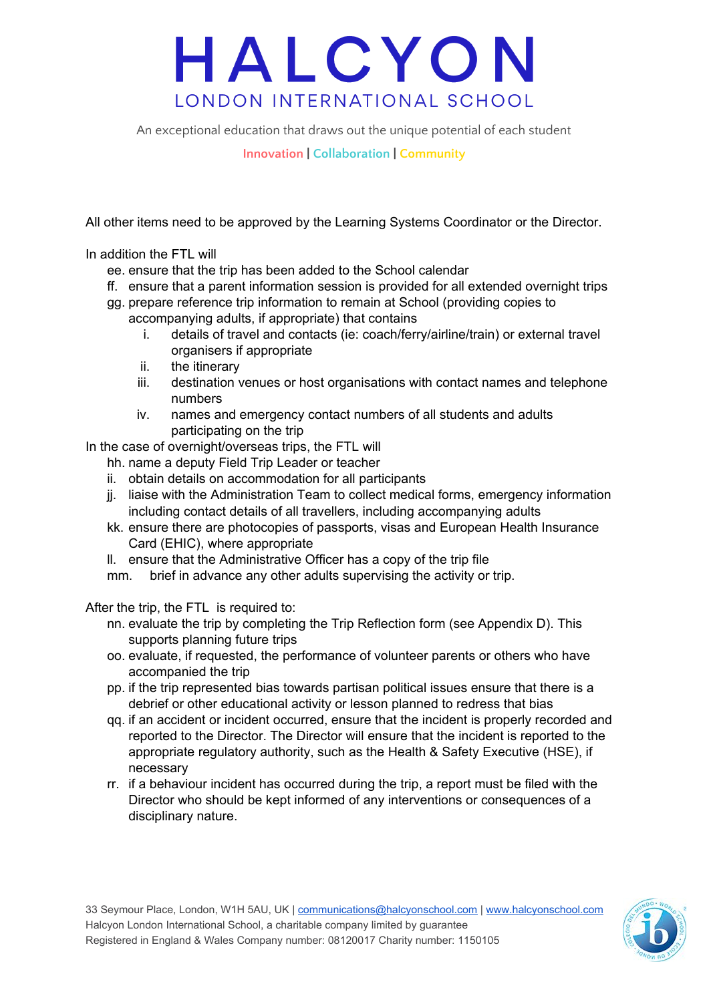An exceptional education that draws out the unique potential of each student

**Innovation | Collaboration | Community**

All other items need to be approved by the Learning Systems Coordinator or the Director.

In addition the FTL will

- ee. ensure that the trip has been added to the School calendar
- ff. ensure that a parent information session is provided for all extended overnight trips
- gg. prepare reference trip information to remain at School (providing copies to accompanying adults, if appropriate) that contains
	- i. details of travel and contacts (ie: coach/ferry/airline/train) or external travel organisers if appropriate
	- ii. the itinerary
	- iii. destination venues or host organisations with contact names and telephone numbers
	- iv. names and emergency contact numbers of all students and adults participating on the trip

In the case of overnight/overseas trips, the FTL will

- hh. name a deputy Field Trip Leader or teacher
- ii. obtain details on accommodation for all participants
- jj. liaise with the Administration Team to collect medical forms, emergency information including contact details of all travellers, including accompanying adults
- kk. ensure there are photocopies of passports, visas and European Health Insurance Card (EHIC), where appropriate
- ll. ensure that the Administrative Officer has a copy of the trip file
- mm. brief in advance any other adults supervising the activity or trip.

After the trip, the FTL is required to:

- nn. evaluate the trip by completing the Trip Reflection form (see Appendix D). This supports planning future trips
- oo. evaluate, if requested, the performance of volunteer parents or others who have accompanied the trip
- pp. if the trip represented bias towards partisan political issues ensure that there is a debrief or other educational activity or lesson planned to redress that bias
- qq. if an accident or incident occurred, ensure that the incident is properly recorded and reported to the Director. The Director will ensure that the incident is reported to the appropriate regulatory authority, such as the Health & Safety Executive (HSE), if necessary
- rr. if a behaviour incident has occurred during the trip, a report must be filed with the Director who should be kept informed of any interventions or consequences of a disciplinary nature.

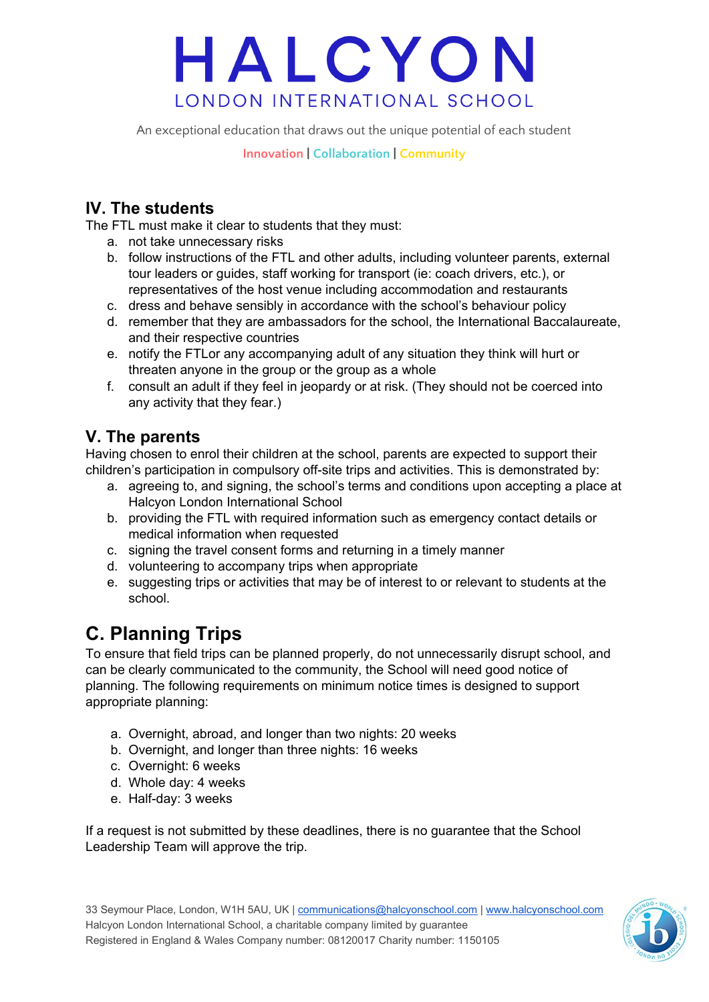An exceptional education that draws out the unique potential of each student

**Innovation | Collaboration | Community**

### **IV. The students**

The FTL must make it clear to students that they must:

- a. not take unnecessary risks
- b. follow instructions of the FTL and other adults, including volunteer parents, external tour leaders or guides, staff working for transport (ie: coach drivers, etc.), or representatives of the host venue including accommodation and restaurants
- c. dress and behave sensibly in accordance with the school's behaviour policy
- d. remember that they are ambassadors for the school, the International Baccalaureate, and their respective countries
- e. notify the FTLor any accompanying adult of any situation they think will hurt or threaten anyone in the group or the group as a whole
- f. consult an adult if they feel in jeopardy or at risk. (They should not be coerced into any activity that they fear.)

### **V. The parents**

Having chosen to enrol their children at the school, parents are expected to support their children's participation in compulsory off-site trips and activities. This is demonstrated by:

- a. agreeing to, and signing, the school's terms and conditions upon accepting a place at Halcyon London International School
- b. providing the FTL with required information such as emergency contact details or medical information when requested
- c. signing the travel consent forms and returning in a timely manner
- d. volunteering to accompany trips when appropriate
- e. suggesting trips or activities that may be of interest to or relevant to students at the school.

## **C. Planning Trips**

To ensure that field trips can be planned properly, do not unnecessarily disrupt school, and can be clearly communicated to the community, the School will need good notice of planning. The following requirements on minimum notice times is designed to support appropriate planning:

- a. Overnight, abroad, and longer than two nights: 20 weeks
- b. Overnight, and longer than three nights: 16 weeks
- c. Overnight: 6 weeks
- d. Whole day: 4 weeks
- e. Half-day: 3 weeks

If a request is not submitted by these deadlines, there is no guarantee that the School Leadership Team will approve the trip.

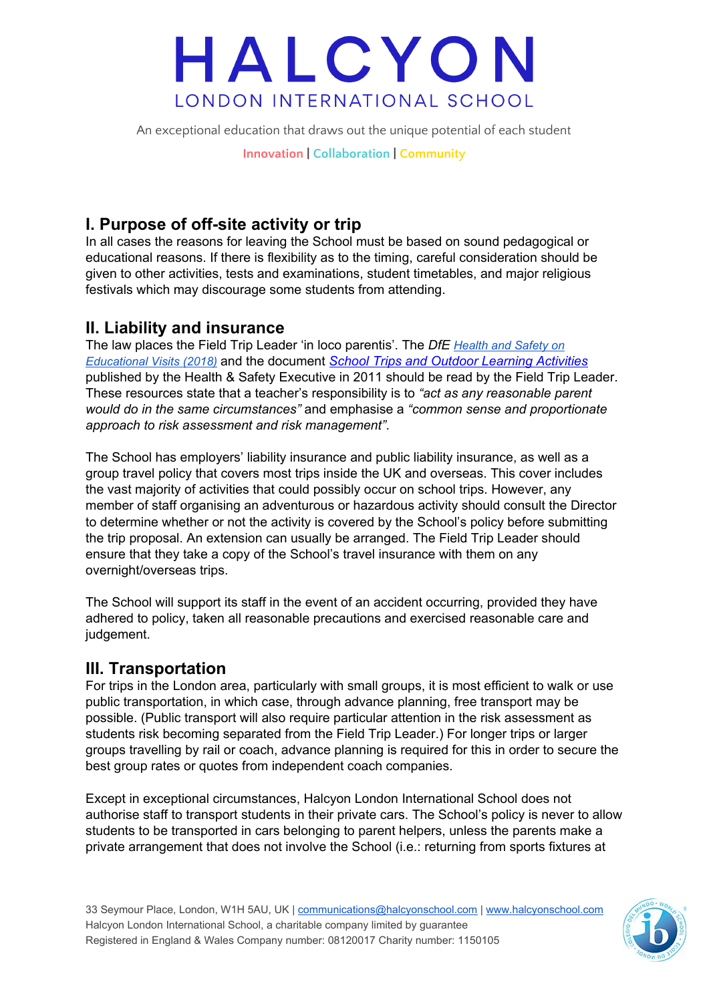An exceptional education that draws out the unique potential of each student

**Innovation | Collaboration | Community**

### **I. Purpose of off-site activity or trip**

In all cases the reasons for leaving the School must be based on sound pedagogical or educational reasons. If there is flexibility as to the timing, careful consideration should be given to other activities, tests and examinations, student timetables, and major religious festivals which may discourage some students from attending.

#### **II. Liability and insurance**

The law places the Field Trip Leader 'in loco parentis'. The *DfE [Health](https://www.gov.uk/government/publications/health-and-safety-on-educational-visits/health-and-safety-on-educational-visits) and Safety on [Educational](https://www.gov.uk/government/publications/health-and-safety-on-educational-visits/health-and-safety-on-educational-visits) Visits (2018)* and the document *School Trips and Outdoor Learning [Activities](http://www.hse.gov.uk/services/education/school-trips.pdf)* published by the Health & Safety Executive in 2011 should be read by the Field Trip Leader. These resources state that a teacher's responsibility is to *"act as any reasonable parent would do in the same circumstances"* and emphasise a *"common sense and proportionate approach to risk assessment and risk management"*.

The School has employers' liability insurance and public liability insurance, as well as a group travel policy that covers most trips inside the UK and overseas. This cover includes the vast majority of activities that could possibly occur on school trips. However, any member of staff organising an adventurous or hazardous activity should consult the Director to determine whether or not the activity is covered by the School's policy before submitting the trip proposal. An extension can usually be arranged. The Field Trip Leader should ensure that they take a copy of the School's travel insurance with them on any overnight/overseas trips.

The School will support its staff in the event of an accident occurring, provided they have adhered to policy, taken all reasonable precautions and exercised reasonable care and judgement.

#### **III. Transportation**

For trips in the London area, particularly with small groups, it is most efficient to walk or use public transportation, in which case, through advance planning, free transport may be possible. (Public transport will also require particular attention in the risk assessment as students risk becoming separated from the Field Trip Leader.) For longer trips or larger groups travelling by rail or coach, advance planning is required for this in order to secure the best group rates or quotes from independent coach companies.

Except in exceptional circumstances, Halcyon London International School does not authorise staff to transport students in their private cars. The School's policy is never to allow students to be transported in cars belonging to parent helpers, unless the parents make a private arrangement that does not involve the School (i.e.: returning from sports fixtures at

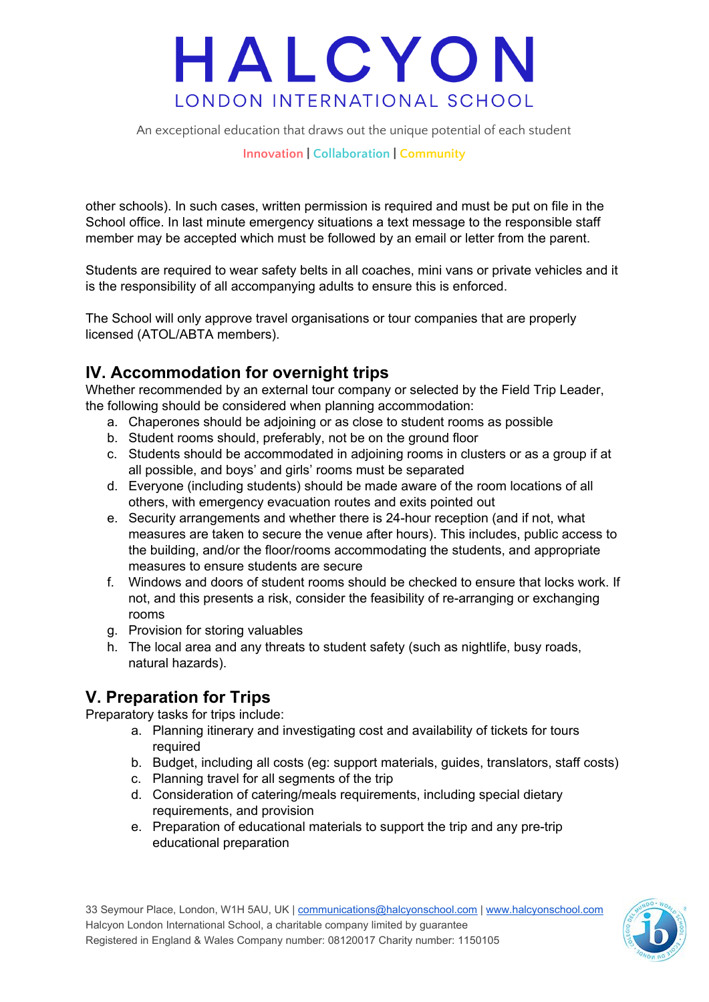An exceptional education that draws out the unique potential of each student

#### **Innovation | Collaboration | Community**

other schools). In such cases, written permission is required and must be put on file in the School office. In last minute emergency situations a text message to the responsible staff member may be accepted which must be followed by an email or letter from the parent.

Students are required to wear safety belts in all coaches, mini vans or private vehicles and it is the responsibility of all accompanying adults to ensure this is enforced.

The School will only approve travel organisations or tour companies that are properly licensed (ATOL/ABTA members).

#### **IV. Accommodation for overnight trips**

Whether recommended by an external tour company or selected by the Field Trip Leader, the following should be considered when planning accommodation:

- a. Chaperones should be adjoining or as close to student rooms as possible
- b. Student rooms should, preferably, not be on the ground floor
- c. Students should be accommodated in adjoining rooms in clusters or as a group if at all possible, and boys' and girls' rooms must be separated
- d. Everyone (including students) should be made aware of the room locations of all others, with emergency evacuation routes and exits pointed out
- e. Security arrangements and whether there is 24-hour reception (and if not, what measures are taken to secure the venue after hours). This includes, public access to the building, and/or the floor/rooms accommodating the students, and appropriate measures to ensure students are secure
- f. Windows and doors of student rooms should be checked to ensure that locks work. If not, and this presents a risk, consider the feasibility of re-arranging or exchanging rooms
- g. Provision for storing valuables
- h. The local area and any threats to student safety (such as nightlife, busy roads, natural hazards).

### **V. Preparation for Trips**

Preparatory tasks for trips include:

- a. Planning itinerary and investigating cost and availability of tickets for tours required
- b. Budget, including all costs (eg: support materials, guides, translators, staff costs)
- c. Planning travel for all segments of the trip
- d. Consideration of catering/meals requirements, including special dietary requirements, and provision
- e. Preparation of educational materials to support the trip and any pre-trip educational preparation

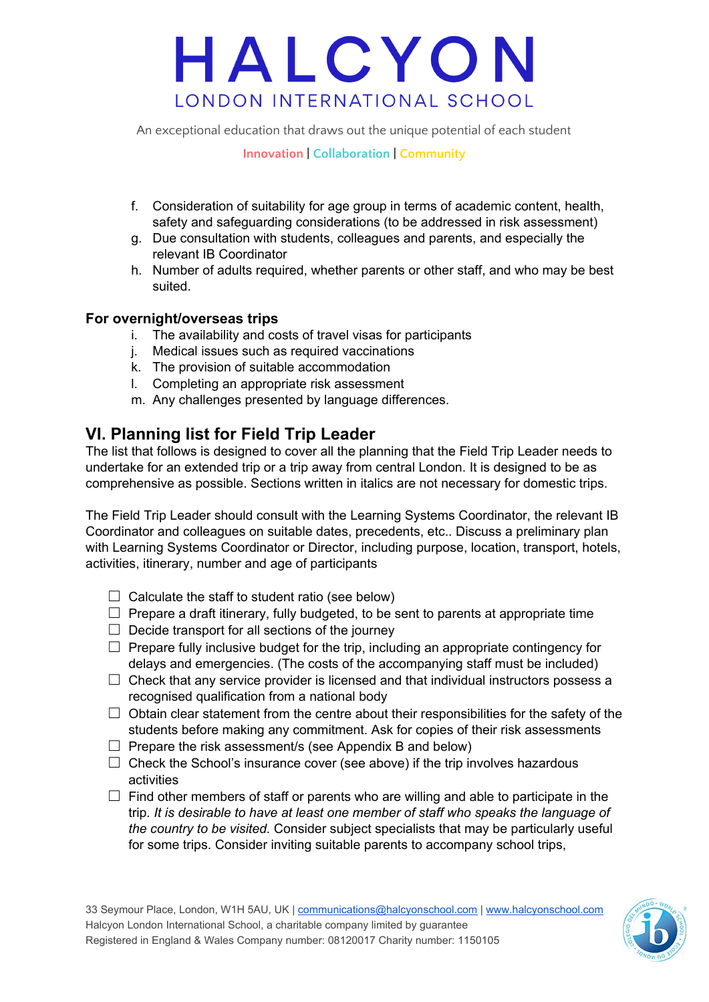An exceptional education that draws out the unique potential of each student

**Innovation | Collaboration | Community**

- f. Consideration of suitability for age group in terms of academic content, health, safety and safeguarding considerations (to be addressed in risk assessment)
- g. Due consultation with students, colleagues and parents, and especially the relevant IB Coordinator
- h. Number of adults required, whether parents or other staff, and who may be best suited.

#### **For overnight/overseas trips**

- i. The availability and costs of travel visas for participants
- j. Medical issues such as required vaccinations
- k. The provision of suitable accommodation
- l. Completing an appropriate risk assessment
- m. Any challenges presented by language differences.

#### **VI. Planning list for Field Trip Leader**

The list that follows is designed to cover all the planning that the Field Trip Leader needs to undertake for an extended trip or a trip away from central London. It is designed to be as comprehensive as possible. Sections written in italics are not necessary for domestic trips.

The Field Trip Leader should consult with the Learning Systems Coordinator, the relevant IB Coordinator and colleagues on suitable dates, precedents, etc.. Discuss a preliminary plan with Learning Systems Coordinator or Director, including purpose, location, transport, hotels, activities, itinerary, number and age of participants

- $\Box$  Calculate the staff to student ratio (see below)
- $\Box$  Prepare a draft itinerary, fully budgeted, to be sent to parents at appropriate time
- $\Box$  Decide transport for all sections of the journey
- $\Box$  Prepare fully inclusive budget for the trip, including an appropriate contingency for delays and emergencies. (The costs of the accompanying staff must be included)
- $\Box$  Check that any service provider is licensed and that individual instructors possess a recognised qualification from a national body
- $\Box$  Obtain clear statement from the centre about their responsibilities for the safety of the students before making any commitment. Ask for copies of their risk assessments
- $\Box$  Prepare the risk assessment/s (see Appendix B and below)
- $\Box$  Check the School's insurance cover (see above) if the trip involves hazardous activities
- $\Box$  Find other members of staff or parents who are willing and able to participate in the trip*. It is desirable to have at least one member of staff who speaks the language of the country to be visited.* Consider subject specialists that may be particularly useful for some trips. Consider inviting suitable parents to accompany school trips,

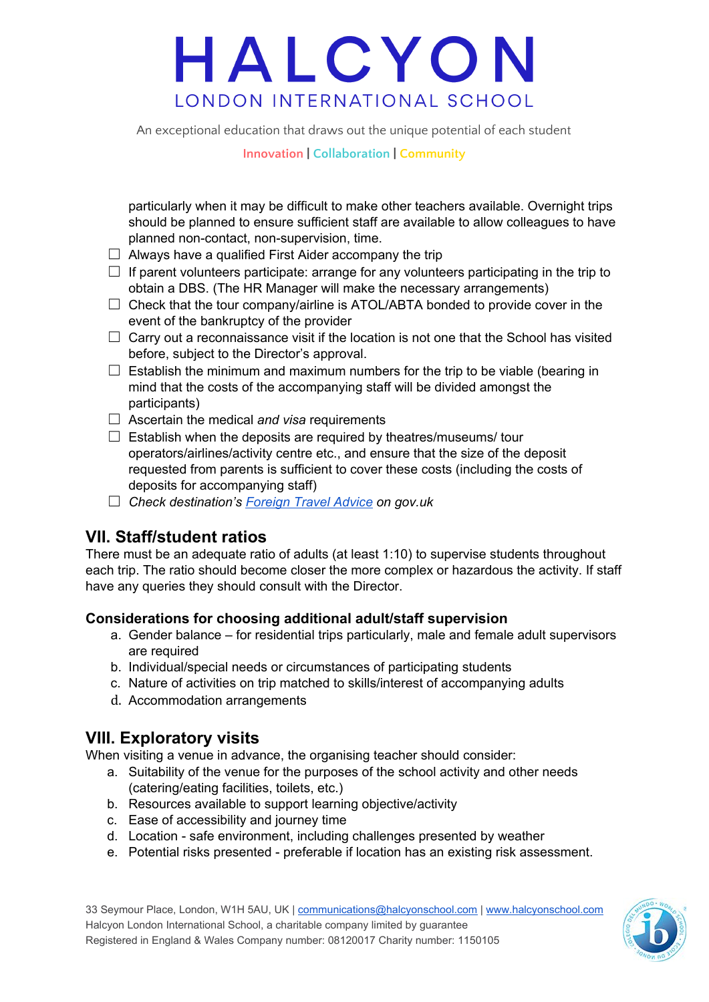An exceptional education that draws out the unique potential of each student

**Innovation | Collaboration | Community**

particularly when it may be difficult to make other teachers available. Overnight trips should be planned to ensure sufficient staff are available to allow colleagues to have planned non-contact, non-supervision, time.

- $\Box$  Always have a qualified First Aider accompany the trip
- $\Box$  If parent volunteers participate: arrange for any volunteers participating in the trip to obtain a DBS. (The HR Manager will make the necessary arrangements)
- $\Box$  Check that the tour company/airline is ATOL/ABTA bonded to provide cover in the event of the bankruptcy of the provider
- $\Box$  Carry out a reconnaissance visit if the location is not one that the School has visited before, subject to the Director's approval.
- $\Box$  Establish the minimum and maximum numbers for the trip to be viable (bearing in mind that the costs of the accompanying staff will be divided amongst the participants)
- ☐ Ascertain the medical *and visa* requirements
- $\Box$  Establish when the deposits are required by theatres/museums/ tour operators/airlines/activity centre etc., and ensure that the size of the deposit requested from parents is sufficient to cover these costs (including the costs of deposits for accompanying staff)
- ☐ *Check destination's [Foreign](https://www.gov.uk/foreign-travel-advice) Travel Advice on gov.uk*

### **VII. Staff/student ratios**

There must be an adequate ratio of adults (at least 1:10) to supervise students throughout each trip. The ratio should become closer the more complex or hazardous the activity. If staff have any queries they should consult with the Director.

#### **Considerations for choosing additional adult/staff supervision**

- a. Gender balance for residential trips particularly, male and female adult supervisors are required
- b. Individual/special needs or circumstances of participating students
- c. Nature of activities on trip matched to skills/interest of accompanying adults
- d. Accommodation arrangements

#### **VIII. Exploratory visits**

When visiting a venue in advance, the organising teacher should consider:

- a. Suitability of the venue for the purposes of the school activity and other needs (catering/eating facilities, toilets, etc.)
- b. Resources available to support learning objective/activity
- c. Ease of accessibility and journey time
- d. Location safe environment, including challenges presented by weather
- e. Potential risks presented preferable if location has an existing risk assessment.

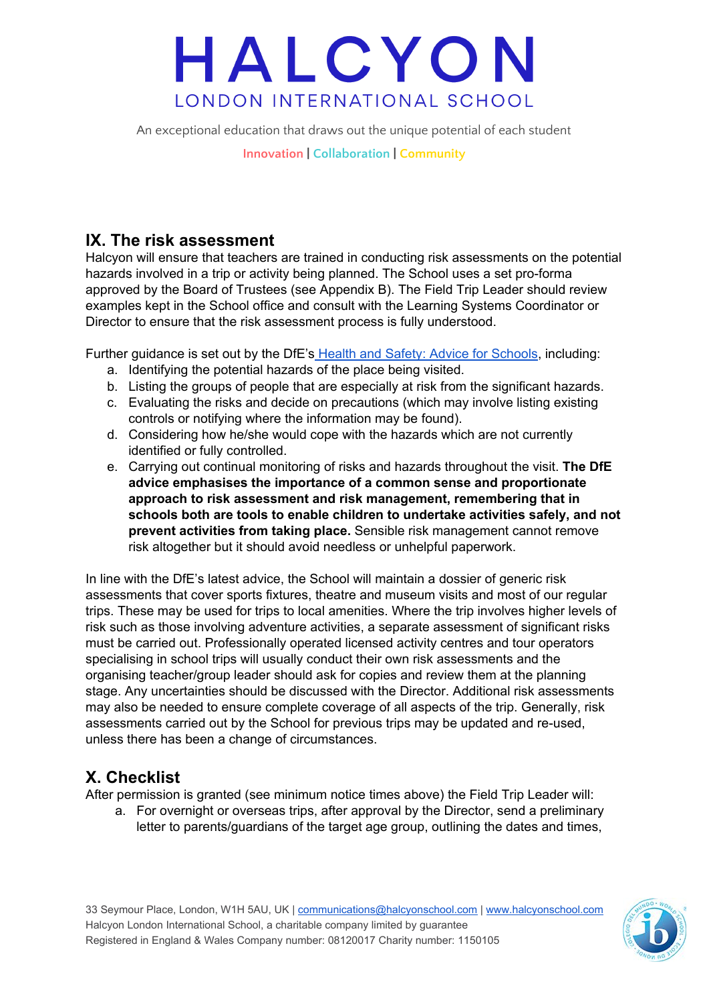An exceptional education that draws out the unique potential of each student

**Innovation | Collaboration | Community**

### **IX. The risk assessment**

Halcyon will ensure that teachers are trained in conducting risk assessments on the potential hazards involved in a trip or activity being planned. The School uses a set pro-forma approved by the Board of Trustees (see Appendix B). The Field Trip Leader should review examples kept in the School office and consult with the Learning Systems Coordinator or Director to ensure that the risk assessment process is fully understood.

Further guidance is set out by the DfE's Health and Safety: Advice for [Schools,](https://www.gov.uk/government/publications/health-and-safety-advice-for-schools) including:

- a. Identifying the potential hazards of the place being visited.
- b. Listing the groups of people that are especially at risk from the significant hazards.
- c. Evaluating the risks and decide on precautions (which may involve listing existing controls or notifying where the information may be found).
- d. Considering how he/she would cope with the hazards which are not currently identified or fully controlled.
- e. Carrying out continual monitoring of risks and hazards throughout the visit. **The DfE advice emphasises the importance of a common sense and proportionate approach to risk assessment and risk management, remembering that in schools both are tools to enable children to undertake activities safely, and not prevent activities from taking place.** Sensible risk management cannot remove risk altogether but it should avoid needless or unhelpful paperwork.

In line with the DfE's latest advice, the School will maintain a dossier of generic risk assessments that cover sports fixtures, theatre and museum visits and most of our regular trips. These may be used for trips to local amenities. Where the trip involves higher levels of risk such as those involving adventure activities, a separate assessment of significant risks must be carried out. Professionally operated licensed activity centres and tour operators specialising in school trips will usually conduct their own risk assessments and the organising teacher/group leader should ask for copies and review them at the planning stage. Any uncertainties should be discussed with the Director. Additional risk assessments may also be needed to ensure complete coverage of all aspects of the trip. Generally, risk assessments carried out by the School for previous trips may be updated and re-used, unless there has been a change of circumstances.

### **X. Checklist**

After permission is granted (see minimum notice times above) the Field Trip Leader will:

a. For overnight or overseas trips, after approval by the Director, send a preliminary letter to parents/guardians of the target age group, outlining the dates and times,

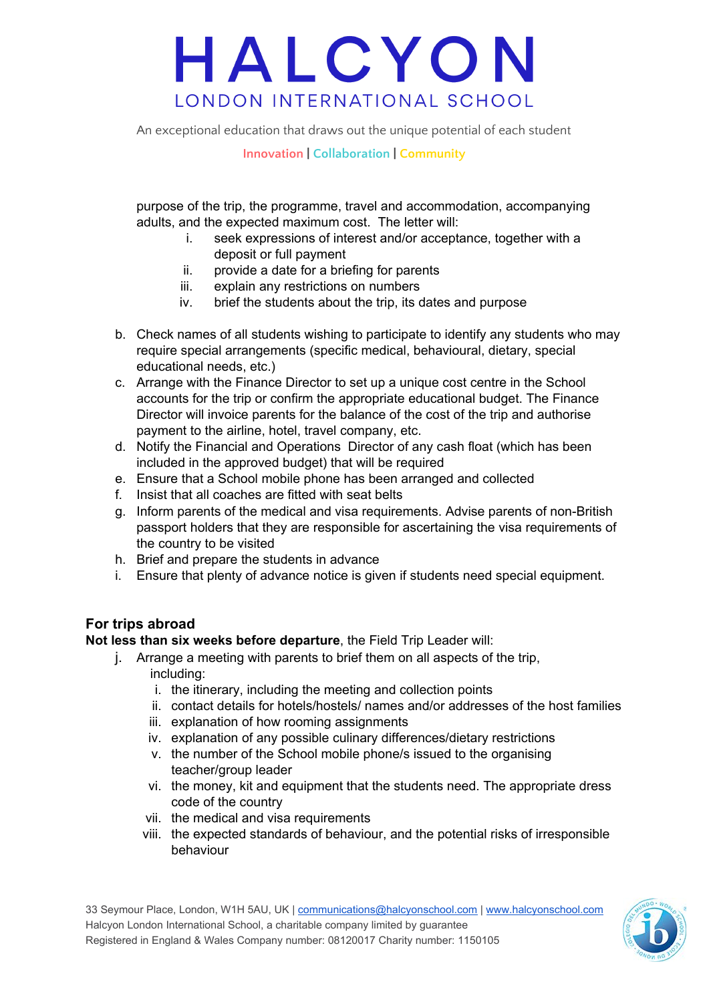An exceptional education that draws out the unique potential of each student

#### **Innovation | Collaboration | Community**

purpose of the trip, the programme, travel and accommodation, accompanying adults, and the expected maximum cost. The letter will:

- i. seek expressions of interest and/or acceptance, together with a deposit or full payment
- ii. provide a date for a briefing for parents
- iii. explain any restrictions on numbers
- iv. brief the students about the trip, its dates and purpose
- b. Check names of all students wishing to participate to identify any students who may require special arrangements (specific medical, behavioural, dietary, special educational needs, etc.)
- c. Arrange with the Finance Director to set up a unique cost centre in the School accounts for the trip or confirm the appropriate educational budget. The Finance Director will invoice parents for the balance of the cost of the trip and authorise payment to the airline, hotel, travel company, etc.
- d. Notify the Financial and Operations Director of any cash float (which has been included in the approved budget) that will be required
- e. Ensure that a School mobile phone has been arranged and collected
- f. Insist that all coaches are fitted with seat belts
- g. Inform parents of the medical and visa requirements. Advise parents of non-British passport holders that they are responsible for ascertaining the visa requirements of the country to be visited
- h. Brief and prepare the students in advance
- i. Ensure that plenty of advance notice is given if students need special equipment.

#### **For trips abroad**

**Not less than six weeks before departure**, the Field Trip Leader will:

- j. Arrange a meeting with parents to brief them on all aspects of the trip, including:
	- i. the itinerary, including the meeting and collection points
	- ii. contact details for hotels/hostels/ names and/or addresses of the host families
	- iii. explanation of how rooming assignments
	- iv. explanation of any possible culinary differences/dietary restrictions
	- v. the number of the School mobile phone/s issued to the organising teacher/group leader
	- vi. the money, kit and equipment that the students need. The appropriate dress code of the country
	- vii. the medical and visa requirements
	- viii. the expected standards of behaviour, and the potential risks of irresponsible behaviour

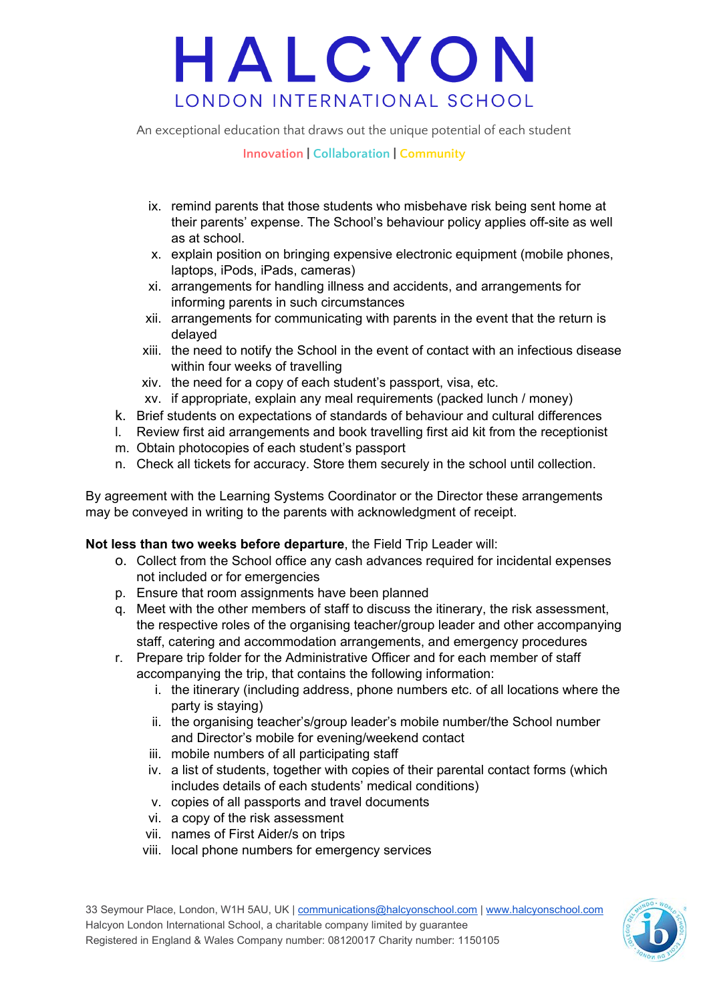An exceptional education that draws out the unique potential of each student

#### **Innovation | Collaboration | Community**

- ix. remind parents that those students who misbehave risk being sent home at their parents' expense. The School's behaviour policy applies off-site as well as at school.
- x. explain position on bringing expensive electronic equipment (mobile phones, laptops, iPods, iPads, cameras)
- xi. arrangements for handling illness and accidents, and arrangements for informing parents in such circumstances
- xii. arrangements for communicating with parents in the event that the return is delayed
- xiii. the need to notify the School in the event of contact with an infectious disease within four weeks of travelling
- xiv. the need for a copy of each student's passport, visa, etc.
- xv. if appropriate, explain any meal requirements (packed lunch / money)
- k. Brief students on expectations of standards of behaviour and cultural differences
- l. Review first aid arrangements and book travelling first aid kit from the receptionist
- m. Obtain photocopies of each student's passport
- n. Check all tickets for accuracy. Store them securely in the school until collection.

By agreement with the Learning Systems Coordinator or the Director these arrangements may be conveyed in writing to the parents with acknowledgment of receipt.

#### **Not less than two weeks before departure**, the Field Trip Leader will:

- o. Collect from the School office any cash advances required for incidental expenses not included or for emergencies
- p. Ensure that room assignments have been planned
- q. Meet with the other members of staff to discuss the itinerary, the risk assessment, the respective roles of the organising teacher/group leader and other accompanying staff, catering and accommodation arrangements, and emergency procedures
- r. Prepare trip folder for the Administrative Officer and for each member of staff accompanying the trip, that contains the following information:
	- i. the itinerary (including address, phone numbers etc. of all locations where the party is staying)
	- ii. the organising teacher's/group leader's mobile number/the School number and Director's mobile for evening/weekend contact
	- iii. mobile numbers of all participating staff
	- iv. a list of students, together with copies of their parental contact forms (which includes details of each students' medical conditions)
	- v. copies of all passports and travel documents
	- vi. a copy of the risk assessment
	- vii. names of First Aider/s on trips
	- viii. local phone numbers for emergency services

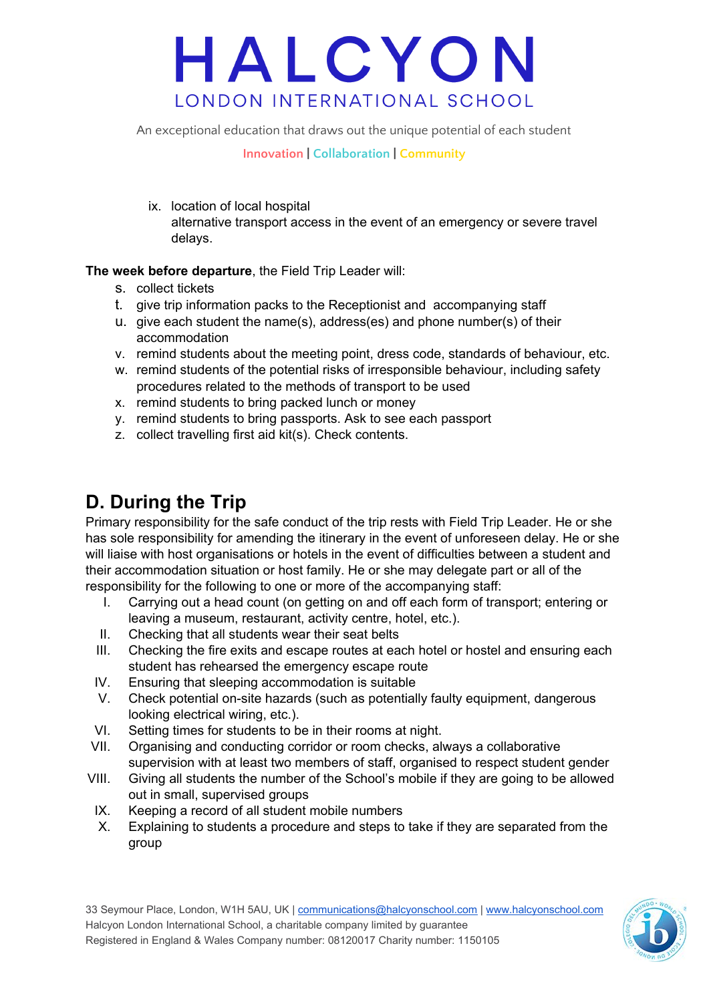An exceptional education that draws out the unique potential of each student

**Innovation | Collaboration | Community**

ix. location of local hospital alternative transport access in the event of an emergency or severe travel delays.

#### **The week before departure**, the Field Trip Leader will:

- s. collect tickets
- t. give trip information packs to the Receptionist and accompanying staff
- u. give each student the name(s), address(es) and phone number(s) of their accommodation
- v. remind students about the meeting point, dress code, standards of behaviour, etc.
- w. remind students of the potential risks of irresponsible behaviour, including safety procedures related to the methods of transport to be used
- x. remind students to bring packed lunch or money
- y. remind students to bring passports. Ask to see each passport
- z. collect travelling first aid kit(s). Check contents.

### **D. During the Trip**

Primary responsibility for the safe conduct of the trip rests with Field Trip Leader. He or she has sole responsibility for amending the itinerary in the event of unforeseen delay. He or she will liaise with host organisations or hotels in the event of difficulties between a student and their accommodation situation or host family. He or she may delegate part or all of the responsibility for the following to one or more of the accompanying staff:

- I. Carrying out a head count (on getting on and off each form of transport; entering or leaving a museum, restaurant, activity centre, hotel, etc.).
- II. Checking that all students wear their seat belts
- III. Checking the fire exits and escape routes at each hotel or hostel and ensuring each student has rehearsed the emergency escape route
- IV. Ensuring that sleeping accommodation is suitable
- V. Check potential on-site hazards (such as potentially faulty equipment, dangerous looking electrical wiring, etc.).
- VI. Setting times for students to be in their rooms at night.
- VII. Organising and conducting corridor or room checks, always a collaborative supervision with at least two members of staff, organised to respect student gender
- VIII. Giving all students the number of the School's mobile if they are going to be allowed out in small, supervised groups
- IX. Keeping a record of all student mobile numbers
- X. Explaining to students a procedure and steps to take if they are separated from the group

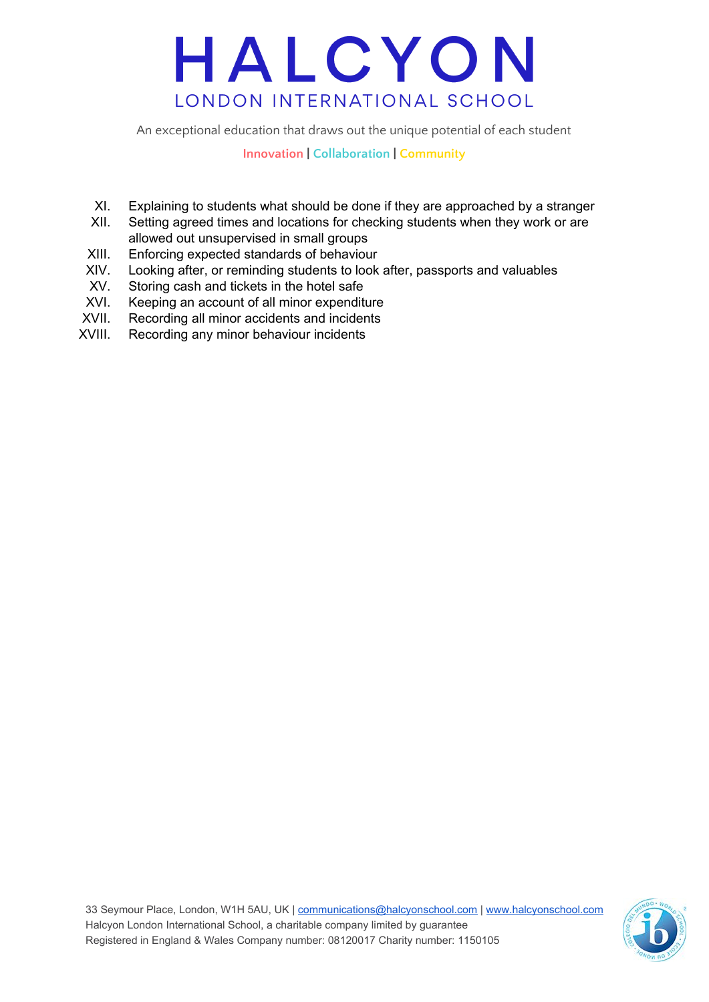An exceptional education that draws out the unique potential of each student

**Innovation | Collaboration | Community**

- XI. Explaining to students what should be done if they are approached by a stranger
- XII. Setting agreed times and locations for checking students when they work or are allowed out unsupervised in small groups
- XIII. Enforcing expected standards of behaviour
- XIV. Looking after, or reminding students to look after, passports and valuables
- XV. Storing cash and tickets in the hotel safe
- XVI. Keeping an account of all minor expenditure
- XVII. Recording all minor accidents and incidents
- XVIII. Recording any minor behaviour incidents

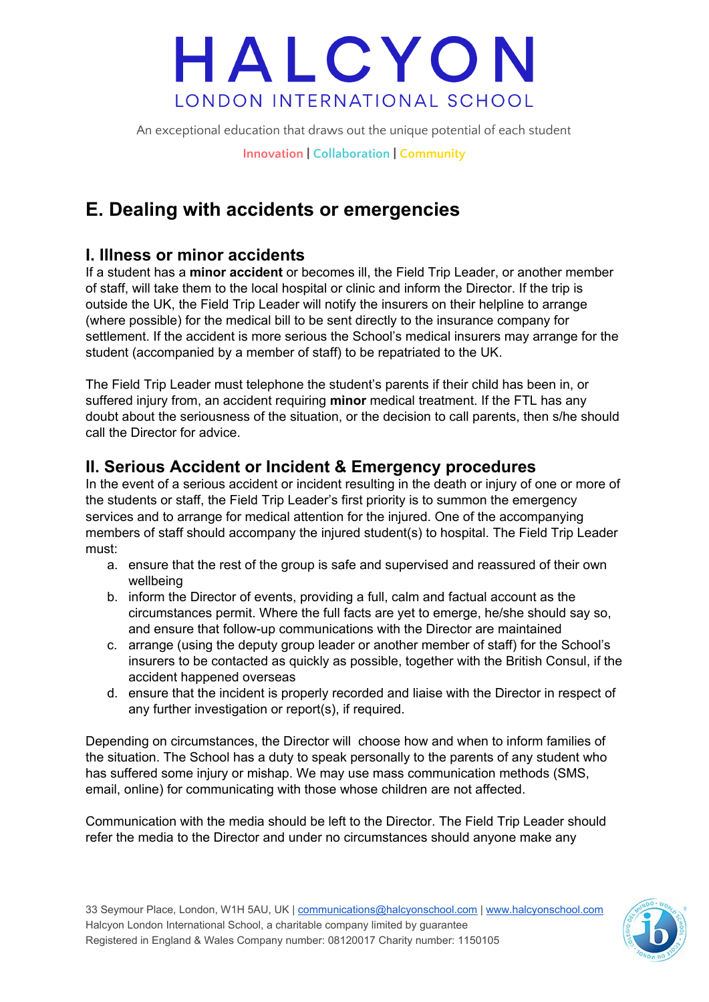An exceptional education that draws out the unique potential of each student

**Innovation | Collaboration | Community**

## **E. Dealing with accidents or emergencies**

#### **I. Illness or minor accidents**

If a student has a **minor accident** or becomes ill, the Field Trip Leader, or another member of staff, will take them to the local hospital or clinic and inform the Director. If the trip is outside the UK, the Field Trip Leader will notify the insurers on their helpline to arrange (where possible) for the medical bill to be sent directly to the insurance company for settlement. If the accident is more serious the School's medical insurers may arrange for the student (accompanied by a member of staff) to be repatriated to the UK.

The Field Trip Leader must telephone the student's parents if their child has been in, or suffered injury from, an accident requiring **minor** medical treatment. If the FTL has any doubt about the seriousness of the situation, or the decision to call parents, then s/he should call the Director for advice.

#### **II. Serious Accident or Incident & Emergency procedures**

In the event of a serious accident or incident resulting in the death or injury of one or more of the students or staff, the Field Trip Leader's first priority is to summon the emergency services and to arrange for medical attention for the injured. One of the accompanying members of staff should accompany the injured student(s) to hospital. The Field Trip Leader must:

- a. ensure that the rest of the group is safe and supervised and reassured of their own wellbeing
- b. inform the Director of events, providing a full, calm and factual account as the circumstances permit. Where the full facts are yet to emerge, he/she should say so, and ensure that follow-up communications with the Director are maintained
- c. arrange (using the deputy group leader or another member of staff) for the School's insurers to be contacted as quickly as possible, together with the British Consul, if the accident happened overseas
- d. ensure that the incident is properly recorded and liaise with the Director in respect of any further investigation or report(s), if required.

Depending on circumstances, the Director will choose how and when to inform families of the situation. The School has a duty to speak personally to the parents of any student who has suffered some injury or mishap. We may use mass communication methods (SMS, email, online) for communicating with those whose children are not affected.

Communication with the media should be left to the Director. The Field Trip Leader should refer the media to the Director and under no circumstances should anyone make any

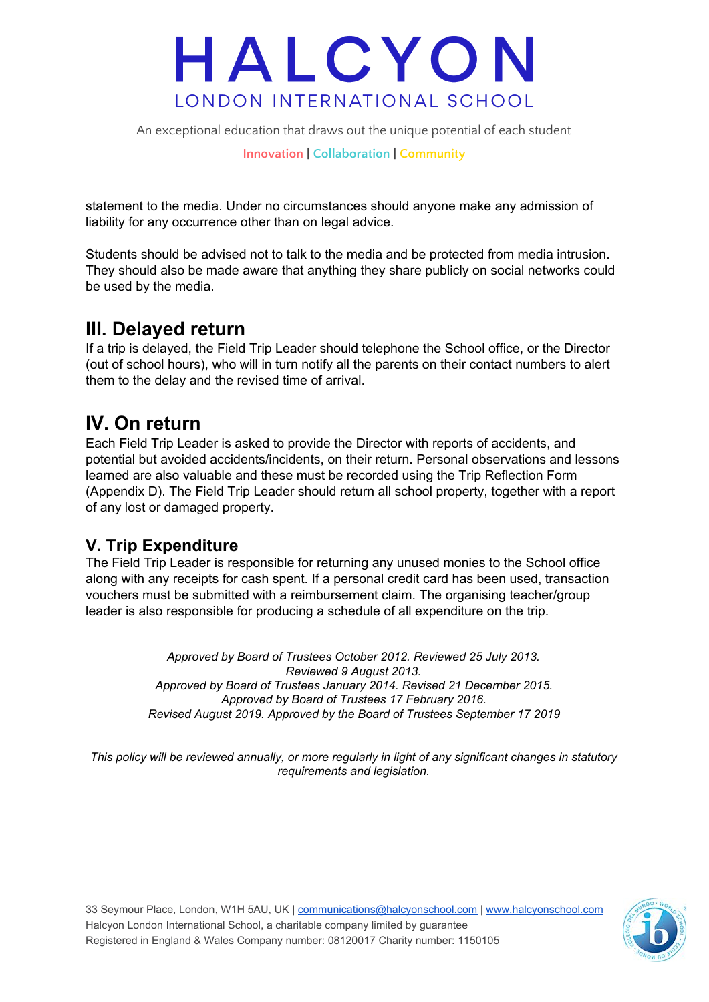An exceptional education that draws out the unique potential of each student

**Innovation | Collaboration | Community**

statement to the media. Under no circumstances should anyone make any admission of liability for any occurrence other than on legal advice.

Students should be advised not to talk to the media and be protected from media intrusion. They should also be made aware that anything they share publicly on social networks could be used by the media.

### **III. Delayed return**

If a trip is delayed, the Field Trip Leader should telephone the School office, or the Director (out of school hours), who will in turn notify all the parents on their contact numbers to alert them to the delay and the revised time of arrival.

### **IV. On return**

Each Field Trip Leader is asked to provide the Director with reports of accidents, and potential but avoided accidents/incidents, on their return. Personal observations and lessons learned are also valuable and these must be recorded using the Trip Reflection Form (Appendix D). The Field Trip Leader should return all school property, together with a report of any lost or damaged property.

#### **V. Trip Expenditure**

The Field Trip Leader is responsible for returning any unused monies to the School office along with any receipts for cash spent. If a personal credit card has been used, transaction vouchers must be submitted with a reimbursement claim. The organising teacher/group leader is also responsible for producing a schedule of all expenditure on the trip.

> *Approved by Board of Trustees October 2012. Reviewed 25 July 2013. Reviewed 9 August 2013. Approved by Board of Trustees January 2014. Revised 21 December 2015. Approved by Board of Trustees 17 February 2016. Revised August 2019. Approved by the Board of Trustees September 17 2019*

*This policy will be reviewed annually, or more regularly in light of any significant changes in statutory requirements and legislation.*

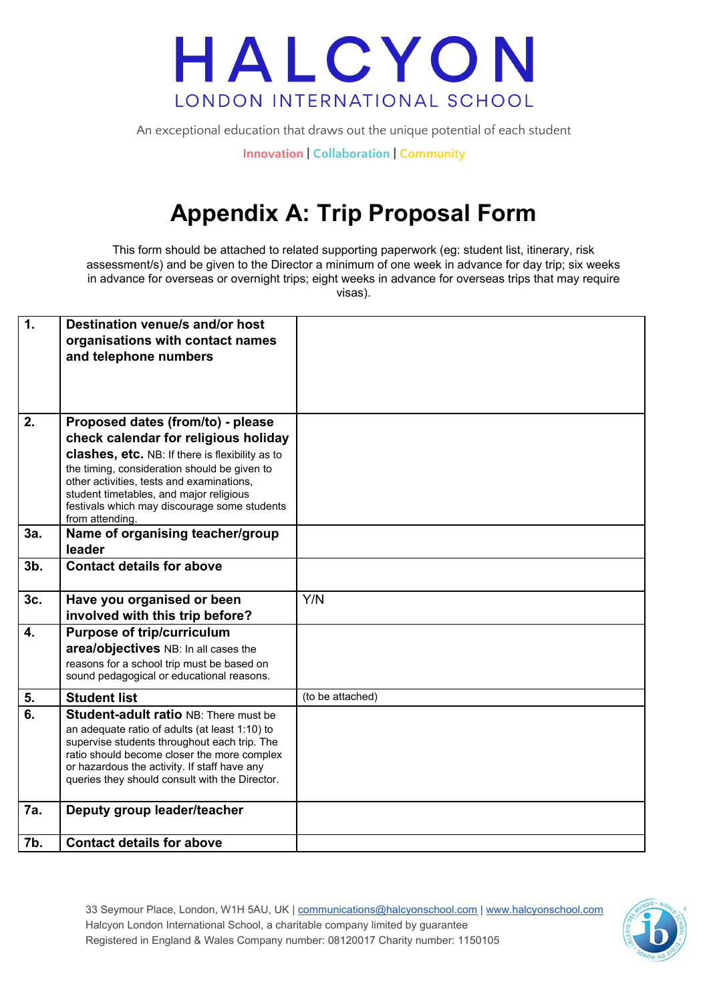

An exceptional education that draws out the unique potential of each student

**Innovation | Collaboration | Community**

## **Appendix A: Trip Proposal Form**

This form should be attached to related supporting paperwork (eg: student list, itinerary, risk assessment/s) and be given to the Director a minimum of one week in advance for day trip; six weeks in advance for overseas or overnight trips; eight weeks in advance for overseas trips that may require visas).

| $\overline{1}$ . | Destination venue/s and/or host<br>organisations with contact names<br>and telephone numbers                                                                                                                                                                                                                                            |                  |
|------------------|-----------------------------------------------------------------------------------------------------------------------------------------------------------------------------------------------------------------------------------------------------------------------------------------------------------------------------------------|------------------|
|                  |                                                                                                                                                                                                                                                                                                                                         |                  |
| 2.               | Proposed dates (from/to) - please<br>check calendar for religious holiday<br>clashes, etc. NB: If there is flexibility as to<br>the timing, consideration should be given to<br>other activities, tests and examinations,<br>student timetables, and major religious<br>festivals which may discourage some students<br>from attending. |                  |
| 3a.              | Name of organising teacher/group<br>leader                                                                                                                                                                                                                                                                                              |                  |
| 3 <sub>b</sub>   | <b>Contact details for above</b>                                                                                                                                                                                                                                                                                                        |                  |
| 3c.              | Have you organised or been<br>involved with this trip before?                                                                                                                                                                                                                                                                           | Y/N              |
| $\overline{4}$ . | <b>Purpose of trip/curriculum</b><br>area/objectives NB: In all cases the<br>reasons for a school trip must be based on<br>sound pedagogical or educational reasons.                                                                                                                                                                    |                  |
| 5.               | <b>Student list</b>                                                                                                                                                                                                                                                                                                                     | (to be attached) |
| 6.               | <b>Student-adult ratio NB: There must be</b><br>an adequate ratio of adults (at least 1:10) to<br>supervise students throughout each trip. The<br>ratio should become closer the more complex<br>or hazardous the activity. If staff have any<br>queries they should consult with the Director.                                         |                  |
| <b>7a.</b>       | Deputy group leader/teacher                                                                                                                                                                                                                                                                                                             |                  |
| 7b.              | <b>Contact details for above</b>                                                                                                                                                                                                                                                                                                        |                  |

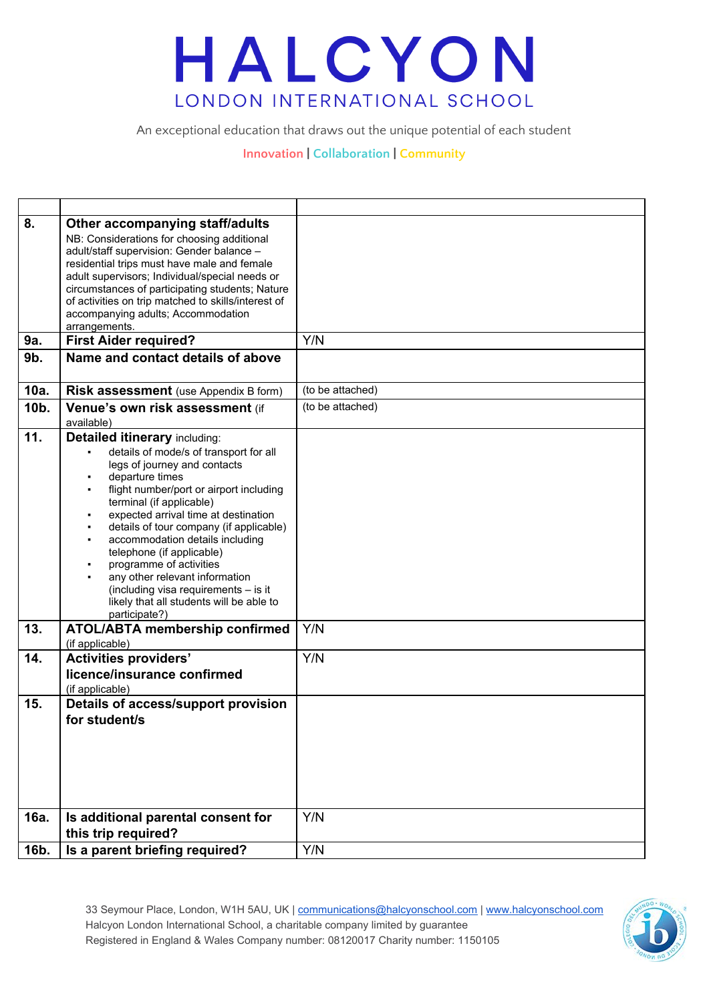An exceptional education that draws out the unique potential of each student

#### **Innovation | Collaboration | Community**

| 8.   | Other accompanying staff/adults                                                               |                  |
|------|-----------------------------------------------------------------------------------------------|------------------|
|      | NB: Considerations for choosing additional                                                    |                  |
|      | adult/staff supervision: Gender balance -                                                     |                  |
|      | residential trips must have male and female<br>adult supervisors; Individual/special needs or |                  |
|      | circumstances of participating students; Nature                                               |                  |
|      | of activities on trip matched to skills/interest of                                           |                  |
|      | accompanying adults; Accommodation                                                            |                  |
|      | arrangements.                                                                                 |                  |
| 9a.  | <b>First Aider required?</b>                                                                  | Y/N              |
| 9b.  | Name and contact details of above                                                             |                  |
| 10a. | Risk assessment (use Appendix B form)                                                         | (to be attached) |
| 10b. | Venue's own risk assessment (if                                                               | (to be attached) |
|      | available)                                                                                    |                  |
| 11.  | <b>Detailed itinerary including:</b>                                                          |                  |
|      | details of mode/s of transport for all                                                        |                  |
|      | legs of journey and contacts<br>departure times                                               |                  |
|      | flight number/port or airport including                                                       |                  |
|      | terminal (if applicable)                                                                      |                  |
|      | expected arrival time at destination                                                          |                  |
|      | details of tour company (if applicable)                                                       |                  |
|      | accommodation details including<br>telephone (if applicable)                                  |                  |
|      | programme of activities                                                                       |                  |
|      | any other relevant information                                                                |                  |
|      | (including visa requirements - is it                                                          |                  |
|      | likely that all students will be able to                                                      |                  |
| 13.  | participate?)<br><b>ATOL/ABTA membership confirmed</b>                                        | Y/N              |
|      | (if applicable)                                                                               |                  |
| 14.  | <b>Activities providers'</b>                                                                  | Y/N              |
|      | licence/insurance confirmed                                                                   |                  |
|      | (if applicable)                                                                               |                  |
| 15.  | Details of access/support provision                                                           |                  |
|      | for student/s                                                                                 |                  |
|      |                                                                                               |                  |
|      |                                                                                               |                  |
|      |                                                                                               |                  |
|      |                                                                                               |                  |
|      |                                                                                               |                  |
| 16a. | Is additional parental consent for                                                            | Y/N              |
|      | this trip required?                                                                           |                  |
|      |                                                                                               |                  |
| 16b. | Is a parent briefing required?                                                                | Y/N              |

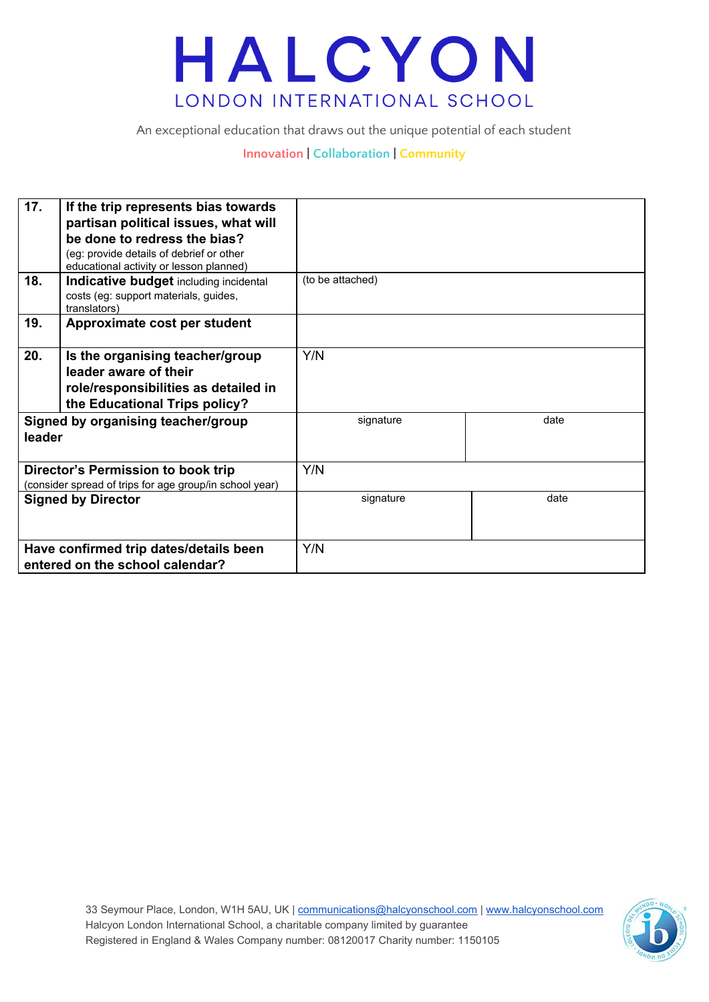An exceptional education that draws out the unique potential of each student

#### **Innovation | Collaboration | Community**

| 17.                                                                                  | If the trip represents bias towards<br>partisan political issues, what will<br>be done to redress the bias?                       |                  |      |
|--------------------------------------------------------------------------------------|-----------------------------------------------------------------------------------------------------------------------------------|------------------|------|
|                                                                                      | (eg: provide details of debrief or other<br>educational activity or lesson planned)                                               |                  |      |
| 18.                                                                                  | Indicative budget including incidental<br>costs (eg: support materials, guides,<br>translators)                                   | (to be attached) |      |
| 19.                                                                                  | Approximate cost per student                                                                                                      |                  |      |
| 20.                                                                                  | Is the organising teacher/group<br>leader aware of their<br>role/responsibilities as detailed in<br>the Educational Trips policy? | Y/N              |      |
| Signed by organising teacher/group<br>leader                                         |                                                                                                                                   | signature        | date |
| Director's Permission to book trip                                                   |                                                                                                                                   | Y/N              |      |
| (consider spread of trips for age group/in school year)<br><b>Signed by Director</b> |                                                                                                                                   | signature        | date |
|                                                                                      |                                                                                                                                   |                  |      |
| Have confirmed trip dates/details been<br>entered on the school calendar?            |                                                                                                                                   | Y/N              |      |

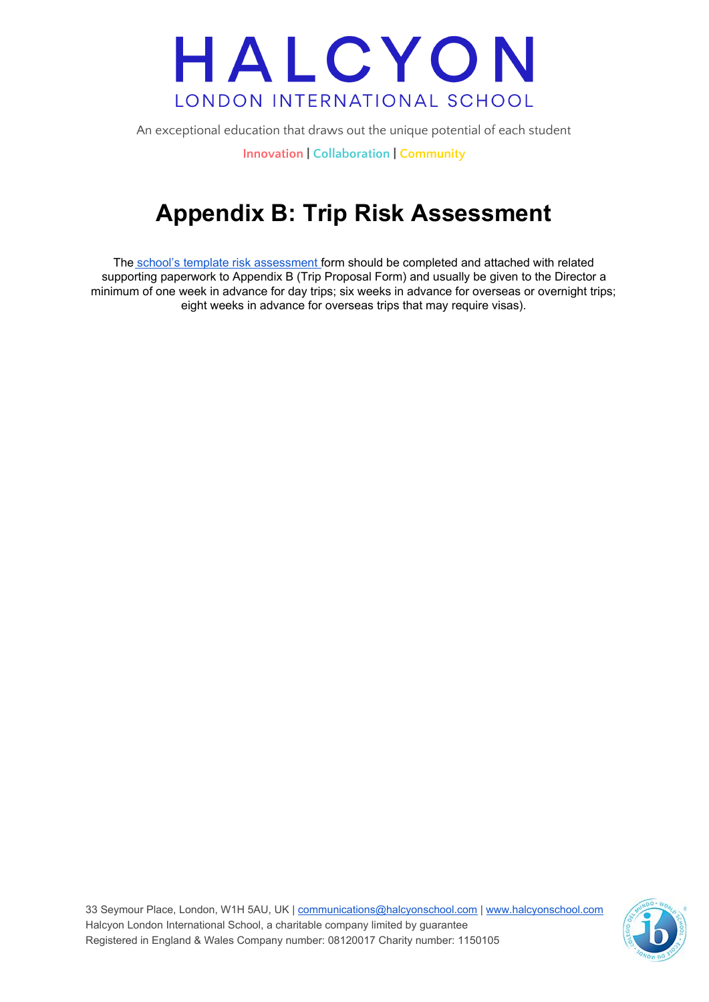An exceptional education that draws out the unique potential of each student

**Innovation | Collaboration | Community**

## **Appendix B: Trip Risk Assessment**

The school's template risk [assessment](https://docs.google.com/document/d/1QHsTg0nsQA5LZIA5BMsOrL67PFFU3QEYNmarrSa_N9U/template/preview?usp=drive_web&ouid=%7BuserId%7D) form should be completed and attached with related supporting paperwork to Appendix B (Trip Proposal Form) and usually be given to the Director a minimum of one week in advance for day trips; six weeks in advance for overseas or overnight trips; eight weeks in advance for overseas trips that may require visas).

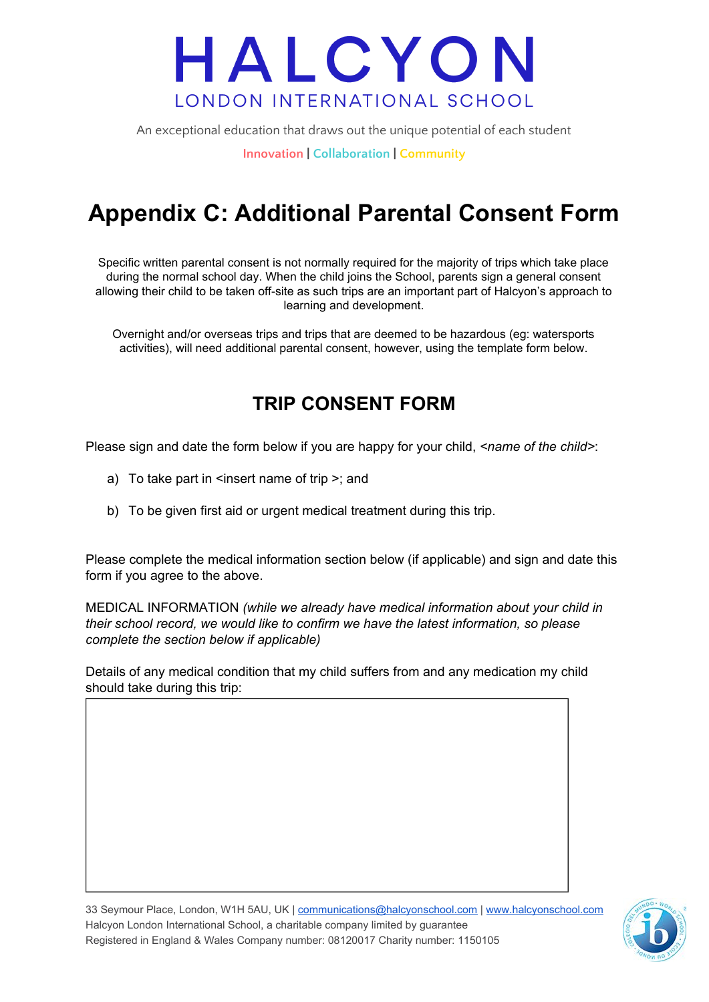An exceptional education that draws out the unique potential of each student

**Innovation | Collaboration | Community**

## **Appendix C: Additional Parental Consent Form**

Specific written parental consent is not normally required for the majority of trips which take place during the normal school day. When the child joins the School, parents sign a general consent allowing their child to be taken off-site as such trips are an important part of Halcyon's approach to learning and development.

Overnight and/or overseas trips and trips that are deemed to be hazardous (eg: watersports activities), will need additional parental consent, however, using the template form below.

### **TRIP CONSENT FORM**

Please sign and date the form below if you are happy for your child, *<name of the child>*:

- a) To take part in  $\leq$  nsert name of trip  $\geq$ ; and
- b) To be given first aid or urgent medical treatment during this trip.

Please complete the medical information section below (if applicable) and sign and date this form if you agree to the above.

MEDICAL INFORMATION *(while we already have medical information about your child in their school record, we would like to confirm we have the latest information, so please complete the section below if applicable)*

Details of any medical condition that my child suffers from and any medication my child should take during this trip:

33 Seymour Place, London, W1H 5AU, UK | [communications@halcyonschool.com](mailto:communications@halcyonschool.com) | [www.halcyonschool.com](http://www.halcyonschool.com/) Halcyon London International School, a charitable company limited by guarantee Registered in England & Wales Company number: 08120017 Charity number: 1150105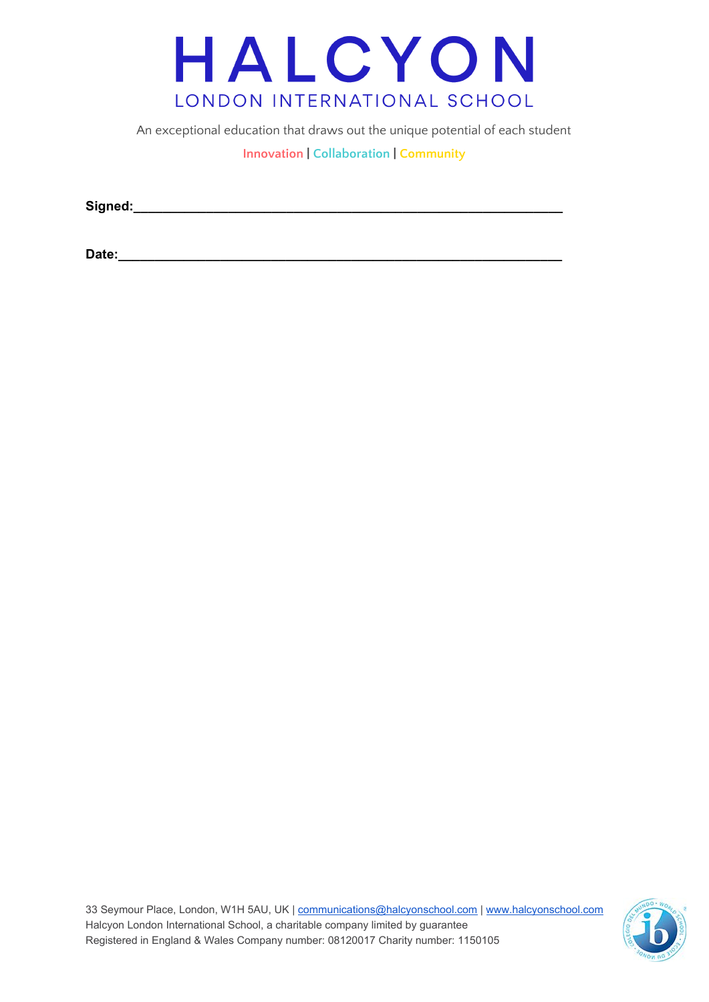

An exceptional education that draws out the unique potential of each student

**Innovation | Collaboration | Community**

**Signed:\_\_\_\_\_\_\_\_\_\_\_\_\_\_\_\_\_\_\_\_\_\_\_\_\_\_\_\_\_\_\_\_\_\_\_\_\_\_\_\_\_\_\_\_\_\_\_\_\_\_\_\_\_\_\_\_\_\_\_**

**Date:\_\_\_\_\_\_\_\_\_\_\_\_\_\_\_\_\_\_\_\_\_\_\_\_\_\_\_\_\_\_\_\_\_\_\_\_\_\_\_\_\_\_\_\_\_\_\_\_\_\_\_\_\_\_\_\_\_\_\_\_\_**